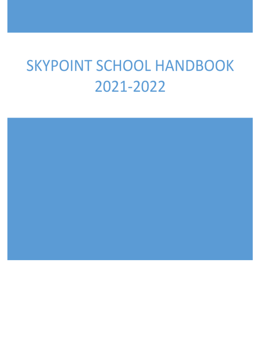# **SKYPOINT SCHOOL HANDBOOK** 2021-2022

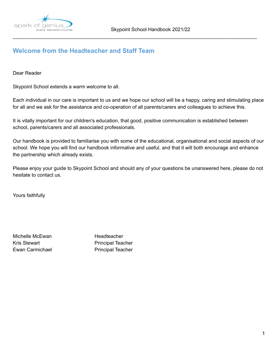

\_\_\_\_\_\_\_\_\_\_\_\_\_\_\_\_\_\_\_\_\_\_\_\_\_\_\_\_\_\_\_\_\_\_\_\_\_\_\_\_\_\_\_\_\_\_\_\_\_\_\_\_\_\_\_\_\_\_\_\_\_\_\_\_\_\_\_\_\_\_\_\_\_\_\_\_\_\_\_\_\_\_\_\_\_\_\_\_

# **Welcome from the Headteacher and Staff Team**

Dear Reader

Skypoint School extends a warm welcome to all.

Each individual in our care is important to us and we hope our school will be a happy, caring and stimulating place for all and we ask for the assistance and co-operation of all parents/carers and colleagues to achieve this.

It is vitally important for our children's education, that good, positive communication is established between school, parents/carers and all associated professionals.

Our handbook is provided to familiarise you with some of the educational, organisational and social aspects of our school. We hope you will find our handbook informative and useful, and that it will both encourage and enhance the partnership which already exists.

Please enjoy your guide to Skypoint School and should any of your questions be unanswered here, please do not hesitate to contact us.

Yours faithfully

Michelle McEwan **Headteacher** Kris Stewart **Principal Teacher** Ewan Carmichael **Principal Teacher**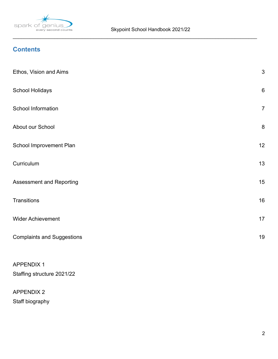

\_\_\_\_\_\_\_\_\_\_\_\_\_\_\_\_\_\_\_\_\_\_\_\_\_\_\_\_\_\_\_\_\_\_\_\_\_\_\_\_\_\_\_\_\_\_\_\_\_\_\_\_\_\_\_\_\_\_\_\_\_\_\_\_\_\_\_\_\_\_\_\_\_\_\_\_\_\_\_\_\_\_\_\_\_\_\_\_

# **Contents**

| Ethos, Vision and Aims                          | $\mathfrak{S}$ |
|-------------------------------------------------|----------------|
| <b>School Holidays</b>                          | $\,6\,$        |
| School Information                              | $\overline{7}$ |
| About our School                                | 8              |
| School Improvement Plan                         | 12             |
| Curriculum                                      | 13             |
| Assessment and Reporting                        | 15             |
| <b>Transitions</b>                              | 16             |
| <b>Wider Achievement</b>                        | 17             |
| <b>Complaints and Suggestions</b>               | 19             |
| <b>APPENDIX 1</b><br>Staffing structure 2021/22 |                |

# APPENDIX 2 Staff biography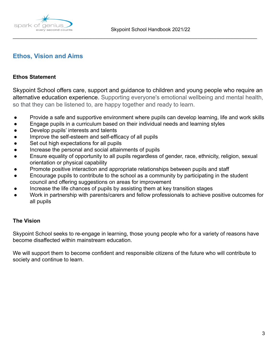

# **Ethos, Vision and Aims**

### **Ethos Statement**

Skypoint School offers care, support and guidance to children and young people who require an alternative education experience. Supporting everyone's emotional wellbeing and mental health, so that they can be listened to, are happy together and ready to learn.

\_\_\_\_\_\_\_\_\_\_\_\_\_\_\_\_\_\_\_\_\_\_\_\_\_\_\_\_\_\_\_\_\_\_\_\_\_\_\_\_\_\_\_\_\_\_\_\_\_\_\_\_\_\_\_\_\_\_\_\_\_\_\_\_\_\_\_\_\_\_\_\_\_\_\_\_\_\_\_\_\_\_\_\_\_\_\_\_

- Provide a safe and supportive environment where pupils can develop learning, life and work skills
- Engage pupils in a curriculum based on their individual needs and learning styles
- Develop pupils' interests and talents
- Improve the self-esteem and self-efficacy of all pupils
- Set out high expectations for all pupils
- Increase the personal and social attainments of pupils
- Ensure equality of opportunity to all pupils regardless of gender, race, ethnicity, religion, sexual orientation or physical capability
- Promote positive interaction and appropriate relationships between pupils and staff
- Encourage pupils to contribute to the school as a community by participating in the student council and offering suggestions on areas for improvement
- Increase the life chances of pupils by assisting them at key transition stages
- Work in partnership with parents/carers and fellow professionals to achieve positive outcomes for all pupils

### **The Vision**

Skypoint School seeks to re-engage in learning, those young people who for a variety of reasons have become disaffected within mainstream education.

We will support them to become confident and responsible citizens of the future who will contribute to society and continue to learn.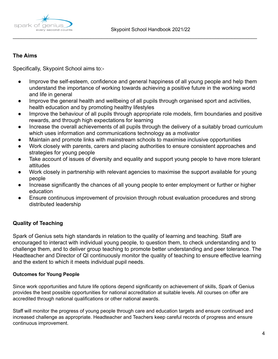



# **The Aims**

Specifically, Skypoint School aims to:-

● Improve the self-esteem, confidence and general happiness of all young people and help them understand the importance of working towards achieving a positive future in the working world and life in general

\_\_\_\_\_\_\_\_\_\_\_\_\_\_\_\_\_\_\_\_\_\_\_\_\_\_\_\_\_\_\_\_\_\_\_\_\_\_\_\_\_\_\_\_\_\_\_\_\_\_\_\_\_\_\_\_\_\_\_\_\_\_\_\_\_\_\_\_\_\_\_\_\_\_\_\_\_\_\_\_\_\_\_\_\_\_\_\_

- Improve the general health and wellbeing of all pupils through organised sport and activities, health education and by promoting healthy lifestyles
- Improve the behaviour of all pupils through appropriate role models, firm boundaries and positive rewards, and through high expectations for learning
- Increase the overall achievements of all pupils through the delivery of a suitably broad curriculum which uses information and communications technology as a motivator
- Maintain and promote links with mainstream schools to maximise inclusive opportunities
- Work closely with parents, carers and placing authorities to ensure consistent approaches and strategies for young people
- Take account of issues of diversity and equality and support young people to have more tolerant attitudes
- Work closely in partnership with relevant agencies to maximise the support available for young people
- Increase significantly the chances of all young people to enter employment or further or higher education
- Ensure continuous improvement of provision through robust evaluation procedures and strong distributed leadership

# **Quality of Teaching**

Spark of Genius sets high standards in relation to the quality of learning and teaching. Staff are encouraged to interact with individual young people, to question them, to check understanding and to challenge them, and to deliver group teaching to promote better understanding and peer tolerance. The Headteacher and Director of QI continuously monitor the quality of teaching to ensure effective learning and the extent to which it meets individual pupil needs.

# **Outcomes for Young People**

Since work opportunities and future life options depend significantly on achievement of skills, Spark of Genius provides the best possible opportunities for national accreditation at suitable levels. All courses on offer are accredited through national qualifications or other national awards.

Staff will monitor the progress of young people through care and education targets and ensure continued and increased challenge as appropriate. Headteacher and Teachers keep careful records of progress and ensure continuous improvement.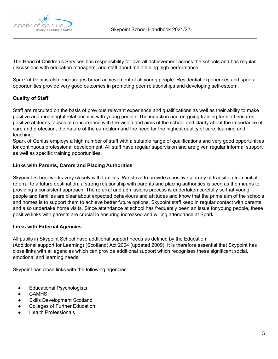

The Head of Children's Services has responsibility for overall achievement across the schools and has regular discussions with education managers, and staff about maintaining high performance.

\_\_\_\_\_\_\_\_\_\_\_\_\_\_\_\_\_\_\_\_\_\_\_\_\_\_\_\_\_\_\_\_\_\_\_\_\_\_\_\_\_\_\_\_\_\_\_\_\_\_\_\_\_\_\_\_\_\_\_\_\_\_\_\_\_\_\_\_\_\_\_\_\_\_\_\_\_\_\_\_\_\_\_\_\_\_\_\_

Spark of Genius also encourages broad achievement of all young people. Residential experiences and sports opportunities provide very good outcomes in promoting peer relationships and developing self-esteem.

#### **Quality of Staff**

Staff are recruited on the basis of previous relevant experience and qualifications as well as their ability to make positive and meaningful relationships with young people. The induction and on-going training for staff ensures positive attitudes, absolute concurrence with the vision and aims of the school and clarity about the importance of care and protection, the nature of the curriculum and the need for the highest quality of care, learning and teaching.

Spark of Genius employs a high number of staff with a suitable range of qualifications and very good opportunities for continuous professional development. All staff have regular supervision and are given regular informal support as well as specific training opportunities.

#### **Links with Parents, Carers and Placing Authorities**

Skypoint School works very closely with families. We strive to provide a positive journey of transition from initial referral to a future destination, a strong relationship with parents and placing authorities is seen as the means to providing a consistent approach. The referral and admissions process is undertaken carefully so that young people and families are clear about expected behaviours and attitudes and know that the prime aim of the schools and homes is to support them to achieve better future options. Skypoint staff keep in regular contact with parents and also undertake home visits. Since attendance at school has frequently been an issue for young people, these positive links with parents are crucial in ensuring increased and willing attendance at Spark.

#### **Links with External Agencies**

All pupils in Skypoint School have additional support needs as defined by the Education (Additional support for Learning) (Scotland) Act 2004 (updated 2009). It is therefore essential that Skypoint has close links with all agencies which can provide additional support which recognises these significant social, emotional and learning needs.

Skypoint has close links with the following agencies:

- Educational Psychologists
- CAMHS
- Skills Development Scotland
- Colleges of Further Education
- **Health Professionals**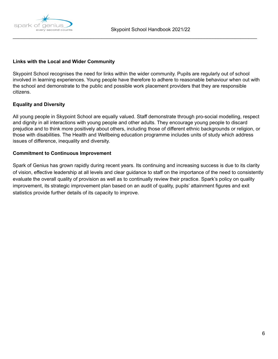

#### **Links with the Local and Wider Community**

Skypoint School recognises the need for links within the wider community. Pupils are regularly out of school involved in learning experiences. Young people have therefore to adhere to reasonable behaviour when out with the school and demonstrate to the public and possible work placement providers that they are responsible citizens.

\_\_\_\_\_\_\_\_\_\_\_\_\_\_\_\_\_\_\_\_\_\_\_\_\_\_\_\_\_\_\_\_\_\_\_\_\_\_\_\_\_\_\_\_\_\_\_\_\_\_\_\_\_\_\_\_\_\_\_\_\_\_\_\_\_\_\_\_\_\_\_\_\_\_\_\_\_\_\_\_\_\_\_\_\_\_\_\_

#### **Equality and Diversity**

All young people in Skypoint School are equally valued. Staff demonstrate through pro-social modelling, respect and dignity in all interactions with young people and other adults. They encourage young people to discard prejudice and to think more positively about others, including those of different ethnic backgrounds or religion, or those with disabilities. The Health and Wellbeing education programme includes units of study which address issues of difference, inequality and diversity.

#### **Commitment to Continuous Improvement**

Spark of Genius has grown rapidly during recent years. Its continuing and increasing success is due to its clarity of vision, effective leadership at all levels and clear guidance to staff on the importance of the need to consistently evaluate the overall quality of provision as well as to continually review their practice. Spark's policy on quality improvement, its strategic improvement plan based on an audit of quality, pupils' attainment figures and exit statistics provide further details of its capacity to improve.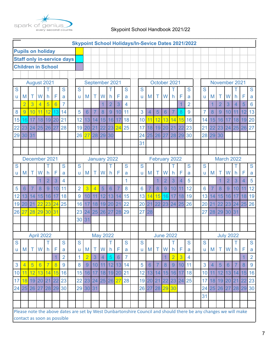

# Skypoint School Handbook 2021/22

| <b>Skypoint School Holidays/In-Sevice Dates 2021/2022</b> |                |                |                 |                      |                 |                                                                                                                 |              |                                |                     |                     |                |                            |                      |                     |    |                 |                  |                      |                      |                 |                     |                |                 |                   |                  |                |                |                     |  |  |
|-----------------------------------------------------------|----------------|----------------|-----------------|----------------------|-----------------|-----------------------------------------------------------------------------------------------------------------|--------------|--------------------------------|---------------------|---------------------|----------------|----------------------------|----------------------|---------------------|----|-----------------|------------------|----------------------|----------------------|-----------------|---------------------|----------------|-----------------|-------------------|------------------|----------------|----------------|---------------------|--|--|
| <b>Pupils on holiday</b>                                  |                |                |                 |                      |                 |                                                                                                                 |              |                                |                     |                     |                |                            |                      |                     |    |                 |                  |                      |                      |                 |                     |                |                 |                   |                  |                |                |                     |  |  |
| <b>Staff only in-service days</b>                         |                |                |                 |                      |                 |                                                                                                                 |              |                                |                     |                     |                |                            |                      |                     |    |                 |                  |                      |                      |                 |                     |                |                 |                   |                  |                |                |                     |  |  |
| <b>Children in School</b>                                 |                |                |                 |                      |                 |                                                                                                                 |              |                                |                     |                     |                |                            |                      |                     |    |                 |                  |                      |                      |                 |                     |                |                 |                   |                  |                |                |                     |  |  |
|                                                           |                |                |                 |                      |                 |                                                                                                                 |              |                                |                     |                     |                |                            |                      |                     |    |                 |                  |                      |                      |                 |                     |                |                 |                   |                  |                |                |                     |  |  |
| August 2021                                               |                |                |                 |                      |                 | September 2021                                                                                                  |              |                                |                     |                     |                |                            | October 2021         |                     |    |                 |                  |                      |                      | November 2021   |                     |                |                 |                   |                  |                |                |                     |  |  |
| S                                                         |                |                |                 |                      |                 | S                                                                                                               |              | S                              |                     |                     |                |                            |                      | S                   | S  |                 |                  |                      |                      |                 | S                   | S              |                 |                   |                  |                |                | S                   |  |  |
| u                                                         | M              | Τ              | W               | h.                   | F               | a                                                                                                               |              | ū                              | M                   | Τ                   | W              | h                          | F                    | a                   | ū  | M               | Τ                | W                    | h                    | F               | a                   | u              | M               | Τ                 | W                | h              | F              | a                   |  |  |
|                                                           | $\overline{2}$ | 3              | 4               | 5                    | $\overline{6}$  | $\overline{7}$                                                                                                  |              |                                |                     |                     | 1              | $\overline{2}$             | 3                    | 4                   |    |                 |                  |                      |                      | 1               | $\overline{2}$      |                | 1               | $\overline{2}$    | 3                | $\overline{4}$ | 5              | 6                   |  |  |
| 8                                                         | 9              | 10             | 11              | 12                   | 13              | 14                                                                                                              |              | 5                              | 6                   | 7                   | 8              | 9                          | 10                   | 11                  | 3  | 4               | 5                | 6                    | 7                    | 8               | 9                   | $\overline{7}$ | 8               | 9                 | 10               | 11             | 12             | 13                  |  |  |
| 15                                                        | 6              | 17             | 18              | 19                   | 20              | 21                                                                                                              |              | 12                             | 13                  | 14                  | 15             | 16                         | 17                   | 18                  | 10 | 11              | 12               | 13                   | 14                   | 15              | 16                  | 14             | 15              | 16                | 17               | 18             | 19             | 20                  |  |  |
| 22                                                        | 23             | 24             | 25              | 26                   | 27              | 28                                                                                                              |              |                                | 19 20               | 21                  | 22             | 23                         | 24                   | 25                  | 17 | 18              | 19               | 20 <sup>1</sup>      | 21                   | 22              | 23                  | 21             | 22              | 23                | 24               | 25             | 26             | 27                  |  |  |
| 29                                                        | 30 31          |                |                 |                      |                 |                                                                                                                 |              | 26                             | 27                  | 28                  | 29 30          |                            |                      |                     | 24 | 25              | 26               | 27                   | 28                   | 29              | 30                  | 28             | 29              | 30                |                  |                |                |                     |  |  |
|                                                           |                |                |                 |                      |                 |                                                                                                                 |              |                                |                     |                     |                |                            |                      |                     | 31 |                 |                  |                      |                      |                 |                     |                |                 |                   |                  |                |                |                     |  |  |
|                                                           |                |                |                 |                      |                 |                                                                                                                 |              |                                |                     |                     |                |                            |                      |                     |    |                 |                  |                      |                      |                 |                     |                |                 |                   |                  |                |                |                     |  |  |
|                                                           | December 2021  |                |                 |                      |                 |                                                                                                                 | January 2022 |                                |                     |                     |                |                            |                      |                     |    | February 2022   |                  |                      |                      |                 | March 2022          |                |                 |                   |                  |                |                |                     |  |  |
| S                                                         |                |                |                 |                      |                 | S                                                                                                               |              | S                              |                     |                     |                |                            |                      | S                   | S  |                 |                  |                      |                      |                 | S                   | S              |                 |                   |                  |                |                | S                   |  |  |
| u                                                         | M              | Τ              | W               | h.                   | F               | a                                                                                                               |              | ū                              | M                   | Τ                   | W              | h                          | F                    | a                   | u  | M               | Τ                | W                    | h.                   | F               | a                   | u              | M               | Τ                 | W                | h              | F              | a                   |  |  |
|                                                           |                |                | $\overline{1}$  | $\overline{2}$       | 3               | 4                                                                                                               |              |                                |                     |                     |                |                            |                      | 1                   |    |                 | $\overline{1}$   | $\overline{2}$       | 3                    | 4               | 5                   |                |                 | $\overline{1}$    | $\overline{2}$   | 3              | $\overline{4}$ | 5                   |  |  |
| 5                                                         | 6              | $\overline{7}$ | 8               | 9                    | 10              | 11                                                                                                              |              | $\overline{2}$                 | $\overline{3}$      | $\overline{4}$      | 5              | $\overline{6}$             | $\overline{7}$       | 8                   | 6  |                 | 8                | 9                    | 10                   | 11              | 12                  | 6              | 7               | 8                 | 9                | 10             | 11             | 12                  |  |  |
| 12                                                        | 3              | 14             | 15              | 16                   | 17              | 18                                                                                                              |              | 9                              | 10                  | 11                  | 12             | 13                         | 14                   | 15                  | 13 | $\overline{4}$  | 15               | 16                   | 17                   | 18              | 19                  | 13             | 14              | 15                | 16               | 17             | 18             | 19                  |  |  |
| 19                                                        | 20             | 21             | $\overline{22}$ | 23                   | $\overline{24}$ | 25                                                                                                              |              | 16                             | 17                  | 18                  | 19             | 20                         | 21                   | 22                  | 20 | 21              | 22               | 23 24                |                      | 25              | 26                  | 20             | $\overline{21}$ | 22                | 23               | 24             | 25             | 26                  |  |  |
| 26                                                        | 27             | 28 29          |                 | 30                   | 31              |                                                                                                                 |              |                                | 23 24               |                     | 25 26 27       |                            | 28                   | 29                  | 27 | 28              |                  |                      |                      |                 |                     | 27             | 28              | 29                | 30 31            |                |                |                     |  |  |
|                                                           |                |                |                 |                      |                 |                                                                                                                 |              | 30 31                          |                     |                     |                |                            |                      |                     |    |                 |                  |                      |                      |                 |                     |                |                 |                   |                  |                |                |                     |  |  |
|                                                           |                |                |                 |                      |                 |                                                                                                                 |              |                                |                     |                     |                |                            |                      |                     |    |                 |                  |                      |                      |                 |                     |                |                 |                   |                  |                |                |                     |  |  |
|                                                           |                | April 2022     |                 |                      |                 |                                                                                                                 |              |                                |                     | <b>May 2022</b>     |                |                            |                      |                     |    |                 | <b>June 2022</b> |                      |                      |                 |                     |                |                 |                   | <b>July 2022</b> |                |                |                     |  |  |
| S                                                         |                |                | W               | Τ                    | F               | S                                                                                                               |              | S                              |                     |                     |                |                            |                      | S                   | S  |                 |                  |                      | т                    | F               | S                   | S              |                 | T                 |                  | Τ              | F              | S                   |  |  |
| ū                                                         | M <sub>1</sub> | $\top$         |                 | h                    |                 | a<br>$\overline{2}$                                                                                             |              | $\mathsf{u}$<br>$\overline{1}$ | M<br>$\overline{2}$ | Τ<br>$\overline{3}$ | W              | h.                         | F<br>$6\overline{6}$ | a<br>$\overline{7}$ | u  | M               |                  | T W                  | h.<br>$\overline{2}$ | $\overline{3}$  | a<br>$\overline{4}$ | $\mathsf{u}$   | M               |                   | W                | h.             |                | a<br>$\overline{2}$ |  |  |
|                                                           | 4              | $\overline{5}$ | $6\overline{6}$ | $\overline{7}$       | $\overline{8}$  | 9                                                                                                               |              | 8                              | 9                   |                     | $\overline{4}$ | $\overline{5}$<br>10 11 12 | 13                   | 14                  | 5  | $6\overline{6}$ | $\overline{7}$   | $\overline{8}$       | $\overline{9}$       | 10 <sub>1</sub> | 11                  | 3              | $\overline{4}$  | 5                 | $6\overline{6}$  | $\overline{7}$ | $\overline{8}$ | 9                   |  |  |
| 3                                                         |                |                |                 |                      | 15              | 16                                                                                                              |              |                                | 15 16               | 17                  |                |                            |                      |                     |    | 12 13           |                  |                      |                      | 17              | 18                  | 10             | 11              |                   |                  | 12 13 14       | 15             | 16                  |  |  |
| 10                                                        | 11             |                |                 | 12 13 14             |                 | 23                                                                                                              |              |                                |                     |                     |                |                            |                      | 18 19 20 21         |    |                 |                  | 14 15 16<br>22 23 24 |                      |                 | 25                  | 17             |                 |                   | 19 20            |                | 22             |                     |  |  |
| 17                                                        | 18             |                |                 | 19 20 21 22<br>28 29 |                 | 30                                                                                                              |              | 29 30 31                       |                     | 22 23 24 25 26 27   |                |                            |                      | 28                  |    | 19 20 21        | 26 27 28 29 30   |                      |                      |                 |                     |                | 18              |                   |                  | 21             |                | 23<br>30            |  |  |
|                                                           |                | 24 25 26 27    |                 |                      |                 |                                                                                                                 |              |                                |                     |                     |                |                            |                      |                     |    |                 |                  |                      |                      |                 |                     |                |                 | 24 25 26 27 28 29 |                  |                |                |                     |  |  |
|                                                           |                |                |                 |                      |                 |                                                                                                                 |              |                                |                     |                     |                |                            |                      |                     |    |                 |                  |                      |                      |                 |                     | 31             |                 |                   |                  |                |                |                     |  |  |
|                                                           |                |                |                 |                      |                 | Please note the above dates are set by West Dunbartonshire Council and should there be any changes we will make |              |                                |                     |                     |                |                            |                      |                     |    |                 |                  |                      |                      |                 |                     |                |                 |                   |                  |                |                |                     |  |  |
|                                                           |                |                |                 |                      |                 |                                                                                                                 |              |                                |                     |                     |                |                            |                      |                     |    |                 |                  |                      |                      |                 |                     |                |                 |                   |                  |                |                |                     |  |  |
| contact as soon as possible                               |                |                |                 |                      |                 |                                                                                                                 |              |                                |                     |                     |                |                            |                      |                     |    |                 |                  |                      |                      |                 |                     |                |                 |                   |                  |                |                |                     |  |  |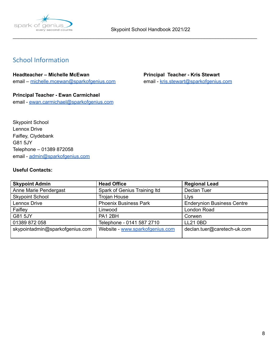

\_\_\_\_\_\_\_\_\_\_\_\_\_\_\_\_\_\_\_\_\_\_\_\_\_\_\_\_\_\_\_\_\_\_\_\_\_\_\_\_\_\_\_\_\_\_\_\_\_\_\_\_\_\_\_\_\_\_\_\_\_\_\_\_\_\_\_\_\_\_\_\_\_\_\_\_\_\_\_\_\_\_\_\_\_\_\_\_

# <span id="page-8-0"></span>School Information

#### **Headteacher – Michelle McEwan Principal Teacher - Kris Stewart**

email – [michelle.mcewan@sparkofgenius.com](mailto:louise.coleman@sparkofgenius.com) email - [kris.stewart@sparkofgenius.com](mailto:kris.stewart@sparkofgenius.com)

### **Principal Teacher - Ewan Carmichael** email - [ewan.carmichael@sparkofgenius.com](mailto:ewan.carmichael@sparkofgenius.com)

Skypoint School Lennox Drive Faifley, Clydebank G81 5JY Telephone – 01389 872058 email - [admin@sparkofgenius.com](mailto:admin@sparkofgenius.com)

## **Useful Contacts:**

| <b>Skypoint Admin</b>           | <b>Head Office</b>              | <b>Regional Lead</b>              |
|---------------------------------|---------------------------------|-----------------------------------|
| Anne Marie Pendergast           | Spark of Genius Training Itd    | Declan Tuer                       |
| <b>Skypoint School</b>          | <b>Trojan House</b>             | <b>Llys</b>                       |
| Lennox Drive                    | <b>Phoenix Business Park</b>    | <b>Enderynion Business Centre</b> |
| Faifley                         | Linwood                         | London Road                       |
| G81 5JY                         | PA1 2BH                         | Corwen                            |
| 01389 872 058                   | Telephone - 0141 587 2710       | <b>LL21 0BD</b>                   |
| skypointadmin@sparkofgenius.com | Website - www.sparkofgenius.com | declan.tuer@caretech-uk.com       |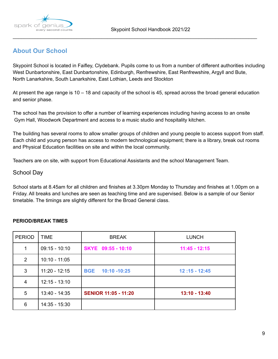

# **About Our School**

Skypoint School is located in Faifley, Clydebank. Pupils come to us from a number of different authorities including West Dunbartonshire, East Dunbartonshire, Edinburgh, Renfrewshire, East Renfrewshire, Argyll and Bute, North Lanarkshire, South Lanarkshire, East Lothian, Leeds and Stockton

\_\_\_\_\_\_\_\_\_\_\_\_\_\_\_\_\_\_\_\_\_\_\_\_\_\_\_\_\_\_\_\_\_\_\_\_\_\_\_\_\_\_\_\_\_\_\_\_\_\_\_\_\_\_\_\_\_\_\_\_\_\_\_\_\_\_\_\_\_\_\_\_\_\_\_\_\_\_\_\_\_\_\_\_\_\_\_\_

At present the age range is 10 – 18 and capacity of the school is 45, spread across the broad general education and senior phase.

The school has the provision to offer a number of learning experiences including having access to an onsite Gym Hall, Woodwork Department and access to a music studio and hospitality kitchen.

The building has several rooms to allow smaller groups of children and young people to access support from staff. Each child and young person has access to modern technological equipment; there is a library, break out rooms and Physical Education facilities on site and within the local community.

Teachers are on site, with support from Educational Assistants and the school Management Team.

### School Day

School starts at 8.45am for all children and finishes at 3.30pm Monday to Thursday and finishes at 1.00pm on a Friday. All breaks and lunches are seen as teaching time and are supervised. Below is a sample of our Senior timetable. The timings are slightly different for the Broad General class.

### **PERIOD/BREAK TIMES**

| <b>PERIOD</b> | <b>TIME</b>     | <b>BREAK</b>                | <b>LUNCH</b>    |
|---------------|-----------------|-----------------------------|-----------------|
|               | $09:15 - 10:10$ | SKYE 09:55 - 10:10          | $11:45 - 12:15$ |
| 2             | $10:10 - 11:05$ |                             |                 |
| 3             | $11:20 - 12:15$ | BGE 10:10 -10:25            | $12:15 - 12:45$ |
| 4             | $12:15 - 13:10$ |                             |                 |
| 5             | 13:40 - 14:35   | <b>SENIOR 11:05 - 11:20</b> | $13:10 - 13:40$ |
| 6             | 14:35 - 15:30   |                             |                 |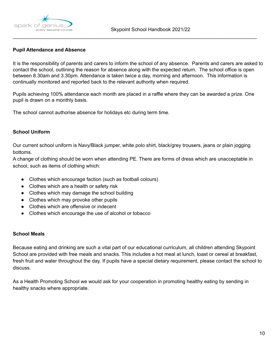

#### **Pupil Attendance and Absence**

It is the responsibility of parents and carers to inform the school of any absence. Parents and carers are asked to contact the school, outlining the reason for absence along with the expected return. The school office is open between 8.30am and 3.30pm. Attendance is taken twice a day, morning and afternoon. This information is continually monitored and reported back to the relevant authority when required.

\_\_\_\_\_\_\_\_\_\_\_\_\_\_\_\_\_\_\_\_\_\_\_\_\_\_\_\_\_\_\_\_\_\_\_\_\_\_\_\_\_\_\_\_\_\_\_\_\_\_\_\_\_\_\_\_\_\_\_\_\_\_\_\_\_\_\_\_\_\_\_\_\_\_\_\_\_\_\_\_\_\_\_\_\_\_\_\_

Pupils achieving 100% attendance each month are placed in a raffle where they can be awarded a prize. One pupil is drawn on a monthly basis.

The school cannot authorise absence for holidays etc during term time.

#### **School Uniform**

Our current school uniform is Navy/Black jumper, white polo shirt, black/grey trousers, jeans or plain jogging bottoms.

A change of clothing should be worn when attending PE. There are forms of dress which are unacceptable in school, such as items of clothing which:

- Clothes which encourage faction (such as football colours)
- Clothes which are a health or safety risk
- Clothes which may damage the school building
- Clothes which may provoke other pupils
- Clothes which are offensive or indecent
- Clothes which encourage the use of alcohol or tobacco

#### **School Meals**

Because eating and drinking are such a vital part of our educational curriculum, all children attending Skypoint School are provided with free meals and snacks. This includes a hot meal at lunch, toast or cereal at breakfast, fresh fruit and water throughout the day. If pupils have a special dietary requirement, please contact the school to discuss.

As a Health Promoting School we would ask for your cooperation in promoting healthy eating by sending in healthy snacks where appropriate.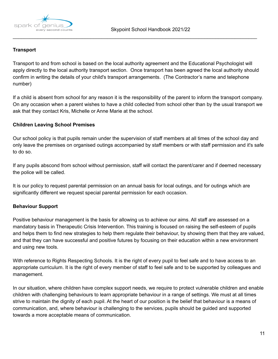

## **Transport**

Transport to and from school is based on the local authority agreement and the Educational Psychologist will apply directly to the local authority transport section. Once transport has been agreed the local authority should confirm in writing the details of your child's transport arrangements. (The Contractor's name and telephone number)

\_\_\_\_\_\_\_\_\_\_\_\_\_\_\_\_\_\_\_\_\_\_\_\_\_\_\_\_\_\_\_\_\_\_\_\_\_\_\_\_\_\_\_\_\_\_\_\_\_\_\_\_\_\_\_\_\_\_\_\_\_\_\_\_\_\_\_\_\_\_\_\_\_\_\_\_\_\_\_\_\_\_\_\_\_\_\_\_

If a child is absent from school for any reason it is the responsibility of the parent to inform the transport company. On any occasion when a parent wishes to have a child collected from school other than by the usual transport we ask that they contact Kris, Michelle or Anne Marie at the school.

#### **Children Leaving School Premises**

Our school policy is that pupils remain under the supervision of staff members at all times of the school day and only leave the premises on organised outings accompanied by staff members or with staff permission and it's safe to do so.

If any pupils abscond from school without permission, staff will contact the parent/carer and if deemed necessary the police will be called.

It is our policy to request parental permission on an annual basis for local outings, and for outings which are significantly different we request special parental permission for each occasion.

### **Behaviour Support**

Positive behaviour management is the basis for allowing us to achieve our aims. All staff are assessed on a mandatory basis in Therapeutic Crisis Intervention. This training is focused on raising the self-esteem of pupils and helps them to find new strategies to help them regulate their behaviour, by showing them that they are valued, and that they can have successful and positive futures by focusing on their education within a new environment and using new tools.

With reference to Rights Respecting Schools. It is the right of every pupil to feel safe and to have access to an appropriate curriculum. It is the right of every member of staff to feel safe and to be supported by colleagues and management.

In our situation, where children have complex support needs, we require to protect vulnerable children and enable children with challenging behaviours to learn appropriate behaviour in a range of settings. We must at all times strive to maintain the dignity of each pupil. At the heart of our position is the belief that behaviour is a means of communication, and, where behaviour is challenging to the services, pupils should be guided and supported towards a more acceptable means of communication.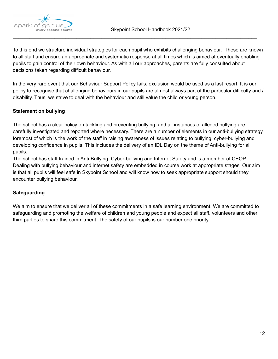

To this end we structure individual strategies for each pupil who exhibits challenging behaviour. These are known to all staff and ensure an appropriate and systematic response at all times which is aimed at eventually enabling pupils to gain control of their own behaviour. As with all our approaches, parents are fully consulted about decisions taken regarding difficult behaviour.

\_\_\_\_\_\_\_\_\_\_\_\_\_\_\_\_\_\_\_\_\_\_\_\_\_\_\_\_\_\_\_\_\_\_\_\_\_\_\_\_\_\_\_\_\_\_\_\_\_\_\_\_\_\_\_\_\_\_\_\_\_\_\_\_\_\_\_\_\_\_\_\_\_\_\_\_\_\_\_\_\_\_\_\_\_\_\_\_

In the very rare event that our Behaviour Support Policy fails, exclusion would be used as a last resort. It is our policy to recognise that challenging behaviours in our pupils are almost always part of the particular difficulty and / disability. Thus, we strive to deal with the behaviour and still value the child or young person.

# **Statement on bullying**

The school has a clear policy on tackling and preventing bullying, and all instances of alleged bullying are carefully investigated and reported where necessary. There are a number of elements in our anti-bullying strategy, foremost of which is the work of the staff in raising awareness of issues relating to bullying, cyber-bullying and developing confidence in pupils. This includes the delivery of an IDL Day on the theme of Anti-bullying for all pupils.

The school has staff trained in Anti-Bullying, Cyber-bullying and Internet Safety and is a member of CEOP. Dealing with bullying behaviour and internet safety are embedded in course work at appropriate stages. Our aim is that all pupils will feel safe in Skypoint School and will know how to seek appropriate support should they encounter bullying behaviour.

### **Safeguarding**

We aim to ensure that we deliver all of these commitments in a safe learning environment. We are committed to safeguarding and promoting the welfare of children and young people and expect all staff, volunteers and other third parties to share this commitment. The safety of our pupils is our number one priority.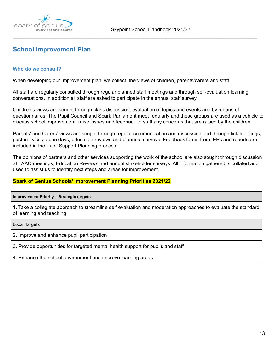

<span id="page-13-0"></span>\_\_\_\_\_\_\_\_\_\_\_\_\_\_\_\_\_\_\_\_\_\_\_\_\_\_\_\_\_\_\_\_\_\_\_\_\_\_\_\_\_\_\_\_\_\_\_\_\_\_\_\_\_\_\_\_\_\_\_\_\_\_\_\_\_\_\_\_\_\_\_\_\_\_\_\_\_\_\_\_\_\_\_\_\_\_\_\_

# **School Improvement Plan**

#### **Who do we consult?**

When developing our Improvement plan, we collect the views of children, parents/carers and staff.

All staff are regularly consulted through regular planned staff meetings and through self-evaluation learning conversations. In addition all staff are asked to participate in the annual staff survey.

Children's views are sought through class discussion, evaluation of topics and events and by means of questionnaires. The Pupil Council and Spark Parliament meet regularly and these groups are used as a vehicle to discuss school improvement, raise issues and feedback to staff any concerns that are raised by the children.

Parents' and Carers' views are sought through regular communication and discussion and through link meetings, pastoral visits, open days, education reviews and biannual surveys. Feedback forms from IEPs and reports are included in the Pupil Support Planning process.

The opinions of partners and other services supporting the work of the school are also sought through discussion at LAAC meetings, Education Reviews and annual stakeholder surveys. All information gathered is collated and used to assist us to identify next steps and areas for improvement.

#### **Spark of Genius Schools' Improvement Planning Priorities 2021/22**

#### **Improvement Priority – Strategic targets**

1. Take a collegiate approach to streamline self evaluation and moderation approaches to evaluate the standard of learning and teaching

Local Targets

2. Improve and enhance pupil participation

3. Provide opportunities for targeted mental health support for pupils and staff

4. Enhance the school environment and improve learning areas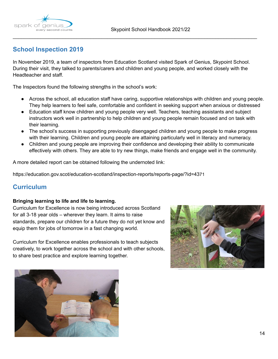



# **School Inspection 2019**

In November 2019, a team of inspectors from Education Scotland visited Spark of Genius, Skypoint School. During their visit, they talked to parents/carers and children and young people, and worked closely with the Headteacher and staff.

\_\_\_\_\_\_\_\_\_\_\_\_\_\_\_\_\_\_\_\_\_\_\_\_\_\_\_\_\_\_\_\_\_\_\_\_\_\_\_\_\_\_\_\_\_\_\_\_\_\_\_\_\_\_\_\_\_\_\_\_\_\_\_\_\_\_\_\_\_\_\_\_\_\_\_\_\_\_\_\_\_\_\_\_\_\_\_\_

The Inspectors found the following strengths in the school's work:

- Across the school, all education staff have caring, supportive relationships with children and young people. They help learners to feel safe, comfortable and confident in seeking support when anxious or distressed
- Education staff know children and young people very well. Teachers, teaching assistants and subject instructors work well in partnership to help children and young people remain focused and on task with their learning.
- The school's success in supporting previously disengaged children and young people to make progress with their learning. Children and young people are attaining particularly well in literacy and numeracy.
- Children and young people are improving their confidence and developing their ability to communicate effectively with others. They are able to try new things, make friends and engage well in the community.

A more detailed report can be obtained following the undernoted link:

<span id="page-14-0"></span>https://education.gov.scot/education-scotland/inspection-reports/reports-page/?id=4371

# **Curriculum**

#### **Bringing learning to life and life to learning.**

Curriculum for Excellence is now being introduced across Scotland for all 3-18 year olds – wherever they learn. It aims to raise standards, prepare our children for a future they do not yet know and equip them for jobs of tomorrow in a fast changing world.

Curriculum for Excellence enables professionals to teach subjects creatively, to work together across the school and with other schools, to share best practice and explore learning together.



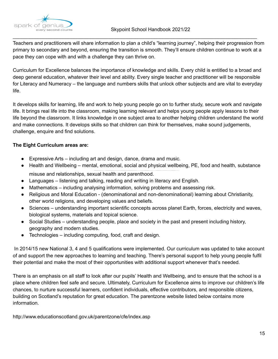

Teachers and practitioners will share information to plan a child's "learning journey", helping their progression from primary to secondary and beyond, ensuring the transition is smooth. They'll ensure children continue to work at a pace they can cope with and with a challenge they can thrive on.

\_\_\_\_\_\_\_\_\_\_\_\_\_\_\_\_\_\_\_\_\_\_\_\_\_\_\_\_\_\_\_\_\_\_\_\_\_\_\_\_\_\_\_\_\_\_\_\_\_\_\_\_\_\_\_\_\_\_\_\_\_\_\_\_\_\_\_\_\_\_\_\_\_\_\_\_\_\_\_\_\_\_\_\_\_\_\_\_

Curriculum for Excellence balances the importance of knowledge and skills. Every child is entitled to a broad and deep general education, whatever their level and ability. Every single teacher and practitioner will be responsible for Literacy and Numeracy – the language and numbers skills that unlock other subjects and are vital to everyday life.

It develops skills for learning, life and work to help young people go on to further study, secure work and navigate life. It brings real life into the classroom, making learning relevant and helps young people apply lessons to their life beyond the classroom. It links knowledge in one subject area to another helping children understand the world and make connections. It develops skills so that children can think for themselves, make sound judgements, challenge, enquire and find solutions.

### **The Eight Curriculum areas are:**

- $\bullet$  Expressive Arts including art and design, dance, drama and music.
- Health and Wellbeing mental, emotional, social and physical wellbeing, PE, food and health, substance misuse and relationships, sexual health and parenthood.
- Languages listening and talking, reading and writing in literacy and English.
- Mathematics including analysing information, solving problems and assessing risk.
- Religious and Moral Education (denominational and non-denominational) learning about Christianity, other world religions, and developing values and beliefs.
- Sciences understanding important scientific concepts across planet Earth, forces, electricity and waves, biological systems, materials and topical science.
- Social Studies understanding people, place and society in the past and present including history, geography and modern studies.
- Technologies including computing, food, craft and design.

In 2014/15 new National 3, 4 and 5 qualifications were implemented. Our curriculum was updated to take account of and support the new approaches to learning and teaching. There's personal support to help young people fulfil their potential and make the most of their opportunities with additional support whenever that's needed.

There is an emphasis on all staff to look after our pupils' Health and Wellbeing, and to ensure that the school is a place where children feel safe and secure. Ultimately, Curriculum for Excellence aims to improve our children's life chances, to nurture successful learners, confident individuals, effective contributors, and responsible citizens, building on Scotland's reputation for great education. The parentzone website listed below contains more information.

http://www.educationscotland.gov.uk/parentzone/cfe/index.asp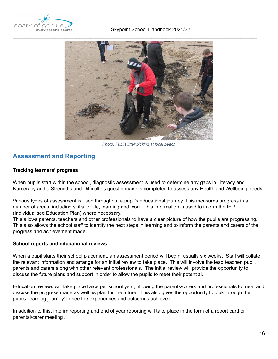



*Photo: Pupils litter picking at local beach*

# <span id="page-16-0"></span>**Assessment and Reporting**

#### **Tracking learners' progress**

When pupils start within the school, diagnostic assessment is used to determine any gaps in Literacy and Numeracy and a Strengths and Difficulties questionnaire is completed to assess any Health and Wellbeing needs.

Various types of assessment is used throughout a pupil's educational journey. This measures progress in a number of areas, including skills for life, learning and work. This information is used to inform the IEP (Individualised Education Plan) where necessary.

This allows parents, teachers and other professionals to have a clear picture of how the pupils are progressing. This also allows the school staff to identify the next steps in learning and to inform the parents and carers of the progress and achievement made.

#### **School reports and educational reviews.**

When a pupil starts their school placement, an assessment period will begin, usually six weeks. Staff will collate the relevant information and arrange for an initial review to take place. This will involve the lead teacher, pupil, parents and carers along with other relevant professionals. The initial review will provide the opportunity to discuss the future plans and support in order to allow the pupils to meet their potential.

Education reviews will take place twice per school year, allowing the parents/carers and professionals to meet and discuss the progress made as well as plan for the future. This also gives the opportunity to look through the pupils 'learning journey' to see the experiences and outcomes achieved.

In addition to this, interim reporting and end of year reporting will take place in the form of a report card or parental/carer meeting .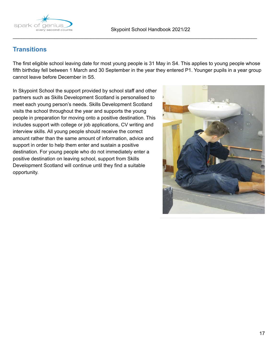



# **Transitions**

The first eligible school leaving date for most young people is 31 May in S4. This applies to young people whose fifth birthday fell between 1 March and 30 September in the year they entered P1. Younger pupils in a year group cannot leave before December in S5.

<span id="page-17-0"></span>\_\_\_\_\_\_\_\_\_\_\_\_\_\_\_\_\_\_\_\_\_\_\_\_\_\_\_\_\_\_\_\_\_\_\_\_\_\_\_\_\_\_\_\_\_\_\_\_\_\_\_\_\_\_\_\_\_\_\_\_\_\_\_\_\_\_\_\_\_\_\_\_\_\_\_\_\_\_\_\_\_\_\_\_\_\_\_\_

In Skypoint School the support provided by school staff and other partners such as Skills Development Scotland is personalised to meet each young person's needs. Skills Development Scotland visits the school throughout the year and supports the young people in preparation for moving onto a positive destination. This includes support with college or job applications, CV writing and interview skills. All young people should receive the correct amount rather than the same amount of information, advice and support in order to help them enter and sustain a positive destination. For young people who do not immediately enter a positive destination on leaving school, support from Skills Development Scotland will continue until they find a suitable opportunity.

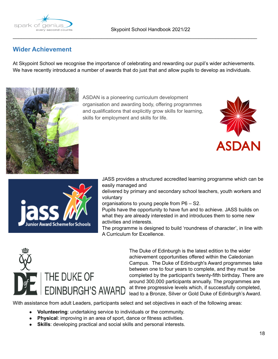

# **Wider Achievement**

At Skypoint School we recognise the importance of celebrating and rewarding our pupil's wider achievements. We have recently introduced a number of awards that do just that and allow pupils to develop as individuals.

\_\_\_\_\_\_\_\_\_\_\_\_\_\_\_\_\_\_\_\_\_\_\_\_\_\_\_\_\_\_\_\_\_\_\_\_\_\_\_\_\_\_\_\_\_\_\_\_\_\_\_\_\_\_\_\_\_\_\_\_\_\_\_\_\_\_\_\_\_\_\_\_\_\_\_\_\_\_\_\_\_\_\_\_\_\_\_\_



ASDAN is a pioneering curriculum development organisation and awarding body, offering programmes and qualifications that explicitly grow skills for learning, skills for employment and skills for life.





JASS provides a structured accredited learning programme which can be easily managed and

delivered by primary and secondary school teachers, youth workers and voluntary

organisations to young people from P6 – S2.

Pupils have the opportunity to have fun and to achieve. JASS builds on what they are already interested in and introduces them to some new activities and interests.

The programme is designed to build 'roundness of character', in line with A Curriculum for Excellence.



The Duke of Edinburgh is the latest edition to the wider achievement opportunities offered within the Caledonian Campus. The Duke of Edinburgh's Award programmes take between one to four years to complete, and they must be completed by the participant's twenty-fifth birthday. There are around 300,000 participants annually. The programmes are at three progressive levels which, if successfully completed, lead to a Bronze, Silver or Gold Duke of Edinburgh's Award.

With assistance from adult Leaders, participants select and set objectives in each of the following areas:

- **Volunteering**: undertaking service to individuals or the community.
- **Physical**: improving in an area of sport, dance or fitness activities.
- **Skills:** developing practical and social skills and personal interests.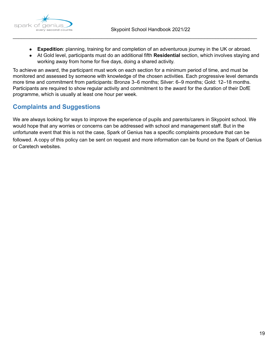

● **Expedition**: planning, training for and completion of an adventurous journey in the UK or abroad.

\_\_\_\_\_\_\_\_\_\_\_\_\_\_\_\_\_\_\_\_\_\_\_\_\_\_\_\_\_\_\_\_\_\_\_\_\_\_\_\_\_\_\_\_\_\_\_\_\_\_\_\_\_\_\_\_\_\_\_\_\_\_\_\_\_\_\_\_\_\_\_\_\_\_\_\_\_\_\_\_\_\_\_\_\_\_\_\_

● At Gold level, participants must do an additional fifth **Residential** section, which involves staying and working away from home for five days, doing a shared activity.

To achieve an award, the participant must work on each section for a minimum period of time, and must be monitored and assessed by someone with knowledge of the chosen activities. Each progressive level demands more time and commitment from participants: Bronze 3–6 months; Silver: 6–9 months; Gold: 12–18 months. Participants are required to show regular activity and commitment to the award for the duration of their DofE programme, which is usually at least one hour per week.

# <span id="page-19-0"></span>**Complaints and Suggestions**

We are always looking for ways to improve the experience of pupils and parents/carers in Skypoint school. We would hope that any worries or concerns can be addressed with school and management staff. But in the unfortunate event that this is not the case, Spark of Genius has a specific complaints procedure that can be followed. A copy of this policy can be sent on request and more information can be found on the Spark of Genius or Caretech websites.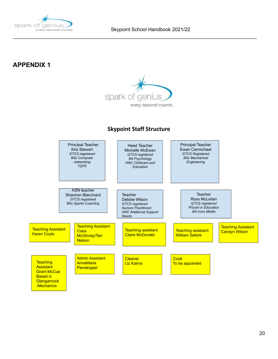

# **APPENDIX 1**



\_\_\_\_\_\_\_\_\_\_\_\_\_\_\_\_\_\_\_\_\_\_\_\_\_\_\_\_\_\_\_\_\_\_\_\_\_\_\_\_\_\_\_\_\_\_\_\_\_\_\_\_\_\_\_\_\_\_\_\_\_\_\_\_\_\_\_\_\_\_\_\_\_\_\_\_\_\_\_\_\_\_\_\_\_\_\_\_

# **Skypoint Staff Structure**

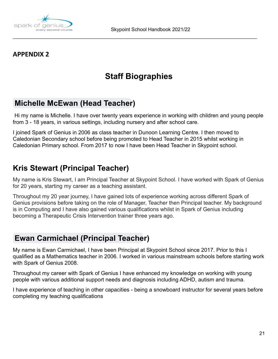

# **APPENDIX 2**

# **Staff Biographies**

\_\_\_\_\_\_\_\_\_\_\_\_\_\_\_\_\_\_\_\_\_\_\_\_\_\_\_\_\_\_\_\_\_\_\_\_\_\_\_\_\_\_\_\_\_\_\_\_\_\_\_\_\_\_\_\_\_\_\_\_\_\_\_\_\_\_\_\_\_\_\_\_\_\_\_\_\_\_\_\_\_\_\_\_\_\_\_\_

# **Michelle [McEwan](mailto:michelle.mcewan@sparkofgenius.co.uk) (Head Teacher)**

Hi my name is Michelle. I have over twenty years experience in working with children and young people from 3 - 18 years, in various settings, including nursery and after school care.

I joined Spark of Genius in 2006 as class teacher in Dunoon Learning Centre. I then moved to Caledonian Secondary school before being promoted to Head Teacher in 2015 whilst working in Caledonian Primary school. From 2017 to now I have been Head Teacher in Skypoint school.

# **Kris Stewart (Principal Teacher)**

My name is Kris Stewart, I am Principal Teacher at Skypoint School. I have worked with Spark of Genius for 20 years, starting my career as a teaching assistant.

Throughout my 20 year journey, I have gained lots of experience working across different Spark of Genius provisions before taking on the role of Manager, Teacher then Principal teacher. My background is in Computing and I have also gained various qualifications whilst in Spark of Genius including becoming a Therapeutic Crisis Intervention trainer three years ago.

# **Ewan [Carmichael](mailto:ewan.carmichael@sparkofgenius.com) (Principal Teacher)**

My name is Ewan Carmichael, I have been Principal at Skypoint School since 2017. Prior to this I qualified as a Mathematics teacher in 2006. I worked in various mainstream schools before starting work with Spark of Genius 2008.

Throughout my career with Spark of Genius I have enhanced my knowledge on working with young people with various additional support needs and diagnosis including ADHD, autism and trauma.

I have experience of teaching in other capacities - being a snowboard instructor for several years before completing my teaching qualifications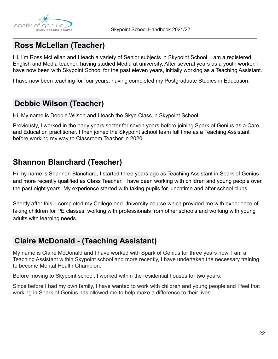

# **Ross [McLellan](mailto:ross.mclellan@sparkofgenius.com) (Teacher)**

Hi, I'm Ross McLellan and I teach a variety of Senior subjects in Skypoint School. I am a registered English and Media teacher, having studied Media at university. After several years as a youth worker, I have now been with Skypoint School for the past eleven years, initially working as a Teaching Assistant.

\_\_\_\_\_\_\_\_\_\_\_\_\_\_\_\_\_\_\_\_\_\_\_\_\_\_\_\_\_\_\_\_\_\_\_\_\_\_\_\_\_\_\_\_\_\_\_\_\_\_\_\_\_\_\_\_\_\_\_\_\_\_\_\_\_\_\_\_\_\_\_\_\_\_\_\_\_\_\_\_\_\_\_\_\_\_\_\_

I have now been teaching for four years, having completed my Postgraduate Studies in Education.

# **Debbie Wilson [\(Teacher](mailto:debbie.wilson@sparkofgenius.com))**

Hi, My name is Debbie Wilson and I teach the Skye Class in Skypoint School.

Previously, I worked in the early years sector for seven years before joining Spark of Genius as a Care and Education practitioner. I then joined the Skypoint school team full time as a Teaching Assistant before working my way to Classroom Teacher in 2020.

# **Shannon Blanchard (Teacher)**

Hi my name is Shannon Blanchard, I started three years ago as Teaching Assistant in Spark of Genius and more recently qualified as Class Teacher. I have been working with children and young people over the past eight years. My experience started with taking pupils for lunchtime and after school clubs.

Shortly after this, I completed my College and University course which provided me with experience of taking children for PE classes, working with professionals from other schools and working with young adults with learning needs.

# **Claire [McDonald](mailto:claire.mcdonald@sparkofgenius.com) - (Teaching Assistant)**

My name is Claire McDonald and I have worked with Spark of Genius for three years now. I am a Teaching Assistant within Skypoint school and more recently, I have undertaken the necessary training to become Mental Health Champion.

Before moving to Skypoint school, I worked within the residential houses for two years.

Since before I had my own family, I have wanted to work with children and young people and I feel that working in Spark of Genius has allowed me to help make a difference to their lives.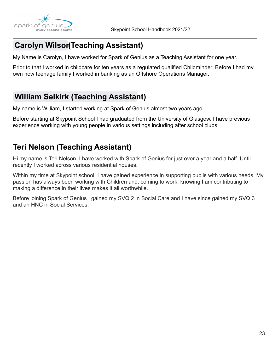

# **[Carolyn](mailto:carolyn.wilson@sparkofgenius.com) Wilson(Teaching Assistant)**

My Name is Carolyn, I have worked for Spark of Genius as a Teaching Assistant for one year.

Prior to that I worked in childcare for ten years as a regulated qualified Childminder. Before I had my own now teenage family I worked in banking as an Offshore Operations Manager.

\_\_\_\_\_\_\_\_\_\_\_\_\_\_\_\_\_\_\_\_\_\_\_\_\_\_\_\_\_\_\_\_\_\_\_\_\_\_\_\_\_\_\_\_\_\_\_\_\_\_\_\_\_\_\_\_\_\_\_\_\_\_\_\_\_\_\_\_\_\_\_\_\_\_\_\_\_\_\_\_\_\_\_\_\_\_\_\_

# **William Selkirk [\(Teaching](mailto:william.selkirk@sparkofgenius.com) Assistant)**

My name is William, I started working at Spark of Genius almost two years ago.

Before starting at Skypoint School I had graduated from the University of Glasgow. I have previous experience working with young people in various settings including after school clubs.

# **Teri Nelson (Teaching Assistant)**

Hi my name is Teri Nelson, I have worked with Spark of Genius for just over a year and a half. Until recently I worked across various residential houses.

Within my time at Skypoint school, I have gained experience in supporting pupils with various needs. My passion has always been working with Children and, coming to work, knowing I am contributing to making a difference in their lives makes it all worthwhile.

Before joining Spark of Genius I gained my SVQ 2 in Social Care and I have since gained my SVQ 3 and an HNC in Social Services.